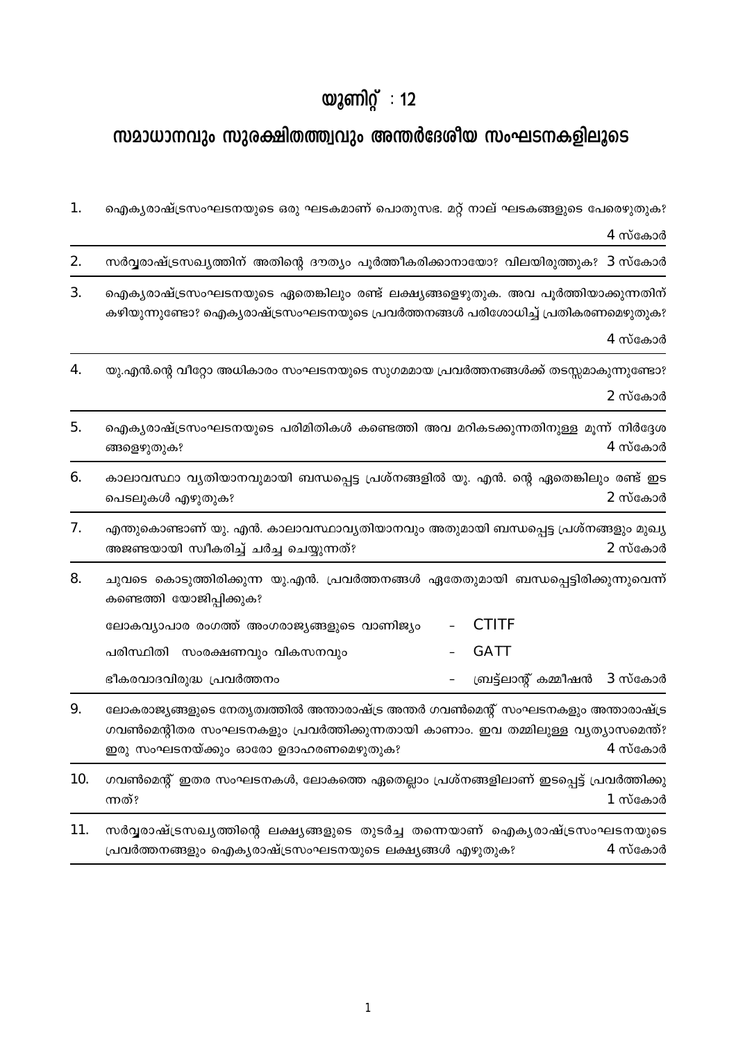## യുണിറ്റ് : 12

## സമാധാനവും സുരക്ഷിതത്ത്വവും അന്തർദേശീയ സംഘടനകളിലൂടെ

| 1.  | ഐക്യരാഷ്ട്രസംഘടനയുടെ ഒരു ഘടകമാണ് പൊതുസഭ. മറ്റ് നാല് ഘടകങ്ങളുടെ പേരെഴുതുക?                                                                                                                                            |
|-----|----------------------------------------------------------------------------------------------------------------------------------------------------------------------------------------------------------------------|
|     | 4 സ്കോർ                                                                                                                                                                                                              |
| 2.  | സർവ്വരാഷ്ട്രസഖ്യത്തിന് അതിന്റെ ദൗത്യം പൂർത്തീകരിക്കാനായോ? വിലയിരുത്തുക? 3 സ്കോർ                                                                                                                                      |
| 3.  | ഐക്യരാഷ്ട്രസംഘടനയുടെ ഏതെങ്കിലും രണ്ട് ലക്ഷ്യങ്ങളെഴുതുക. അവ പൂർത്തിയാക്കുന്നതിന്<br>കഴിയുന്നുണ്ടോ? ഐക്യരാഷ്ട്രസംഘടനയുടെ പ്രവർത്തനങ്ങൾ പരിശോധിച്ച് പ്രതികരണമെഴുതുക?<br>4 സ്കോർ                                         |
| 4.  | യു.എൻ.ന്റെ വീറ്റോ അധികാരം സംഘടനയുടെ സുഗമമായ പ്രവർത്തനങ്ങൾക്ക് തടസ്സമാകുന്നുണ്ടോ?<br>2 സ്കോർ                                                                                                                          |
| 5.  | ഐക്യരാഷ്ട്രസംഘടനയുടെ പരിമിതികൾ കണ്ടെത്തി അവ മറികടക്കുന്നതിനുള്ള മൂന്ന് നിർദ്ദേശ<br>$4$ സ്കോർ<br>ങ്ങളെഴുതുക?                                                                                                          |
| 6.  | കാലാവസ്ഥാ വ്യതിയാനവുമായി ബന്ധപ്പെട്ട പ്രശ്നങ്ങളിൽ യു. എൻ. ന്റെ ഏതെങ്കിലും രണ്ട് ഇട<br>2 സ്കോർ<br>പെടലുകൾ എഴുതുക?                                                                                                     |
| 7.  | എന്തുകൊണ്ടാണ് യു. എൻ. കാലാവസ്ഥാവ്യതിയാനവും അതുമായി ബന്ധപ്പെട്ട പ്രശ്നങ്ങളും മുഖ്യ<br>2 സ്കോർ<br>അജണ്ടയായി സ്വീകരിച്ച് ചർച്ച ചെയ്യുന്നത്?                                                                             |
| 8.  | ചുവടെ കൊടുത്തിരിക്കുന്ന യു.എൻ. പ്രവർത്തനങ്ങൾ ഏതേതുമായി ബന്ധപ്പെട്ടിരിക്കുന്നുവെന്ന്<br>കണ്ടെത്തി യോജിപ്പിക്കുക?                                                                                                      |
|     | <b>CTITF</b><br>ലോകവ്യാപാര രംഗത്ത് അംഗരാജ്യങ്ങളുടെ വാണിജ്യം                                                                                                                                                          |
|     | <b>GATT</b><br>പരിസ്ഥിതി സംരക്ഷണവും വികസനവും                                                                                                                                                                         |
|     | ബ്രട്ട്ലാന്റ് കമ്മീഷൻ<br>ഭീകരവാദവിരുദ്ധ പ്രവർത്തനം<br>3 സ്കോർ                                                                                                                                                        |
| 9.  | ലോകരാജ്യങ്ങളുടെ നേതൃത്വത്തിൽ അന്താരാഷ്ട്ര അന്തർ ഗവൺമെന്റ് സംഘടനകളും അന്താരാഷ്ട്ര<br>ഗവൺമെന്റിതര സംഘടനകളും പ്രവർത്തിക്കുന്നതായി കാണാം. ഇവ തമ്മിലുള്ള വൃത്യാസമെന്ത്?<br>4 സ്കോർ<br>ഇരു സംഘടനയ്ക്കും ഓരോ ഉദാഹരണമെഴുതുക? |
| 10. | ഗവൺമെന്റ് ഇതര സംഘടനകൾ, ലോകത്തെ ഏതെല്ലാം പ്രശ്നങ്ങളിലാണ് ഇടപ്പെട്ട് പ്രവർത്തിക്കു<br>ന്നത്?<br>$1$ സ്കോർ                                                                                                              |

11. സർവ്വരാഷ്ട്രസഖ്യത്തിന്റെ ലക്ഷ്യങ്ങളുടെ തുടർച്ച തന്നെയാണ് ഐക്യരാഷ്ട്രസംഘടനയുടെ പ്രവർത്തനങ്ങളും ഐക്യരാഷ്ട്രസംഘടനയുടെ ലക്ഷ്യങ്ങൾ എഴുതുക?  $4$  സ്കോർ